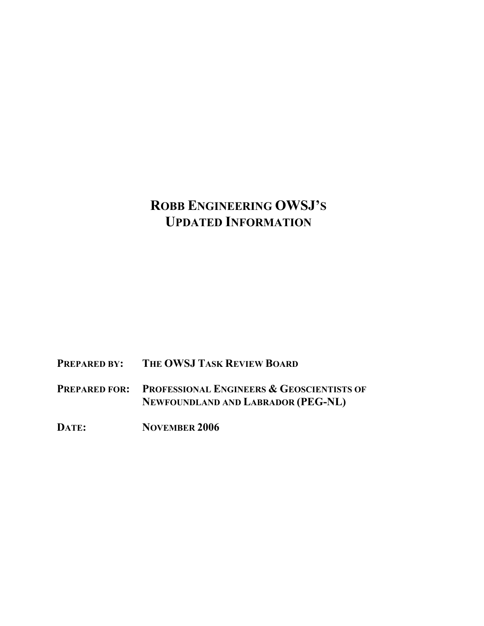## **ROBB ENGINEERING OWSJ'S UPDATED INFORMATION**

**PREPARED BY: THE OWSJ TASK REVIEW BOARD**

**PREPARED FOR: PROFESSIONAL ENGINEERS & GEOSCIENTISTS OF NEWFOUNDLAND AND LABRADOR (PEG-NL)** 

**DATE: NOVEMBER 2006**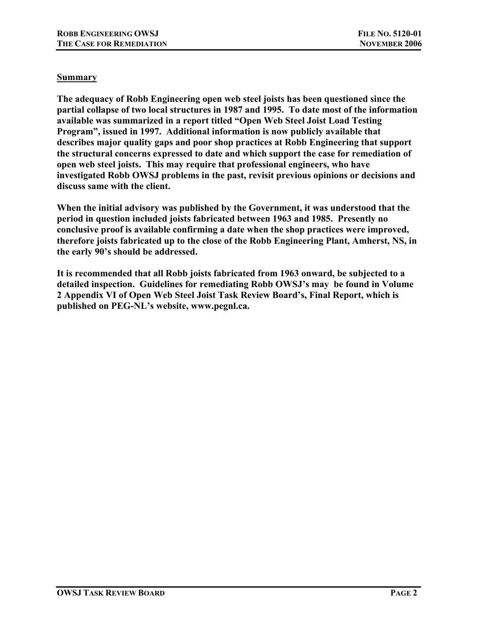## **Summary**

**The adequacy of Robb Engineering open web steel joists has been questioned since the partial collapse of two local structures in 1987 and 1995. To date most of the information available was summarized in a report titled "Open Web Steel Joist Load Testing Program", issued in 1997. Additional information is now publicly available that describes major quality gaps and poor shop practices at Robb Engineering that support the structural concerns expressed to date and which support the case for remediation of open web steel joists. This may require that professional engineers, who have investigated Robb OWSJ problems in the past, revisit previous opinions or decisions and discuss same with the client.** 

**When the initial advisory was published by the Government, it was understood that the period in question included joists fabricated between 1963 and 1985. Presently no conclusive proof is available confirming a date when the shop practices were improved, therefore joists fabricated up to the close of the Robb Engineering Plant, Amherst, NS, in the early 90's should be addressed.** 

**It is recommended that all Robb joists fabricated from 1963 onward, be subjected to a detailed inspection. Guidelines for remediating Robb OWSJ's may be found in Volume 2 Appendix VI of Open Web Steel Joist Task Review Board's, Final Report, which is published on PEG-NL's website, www.pegnl.ca.**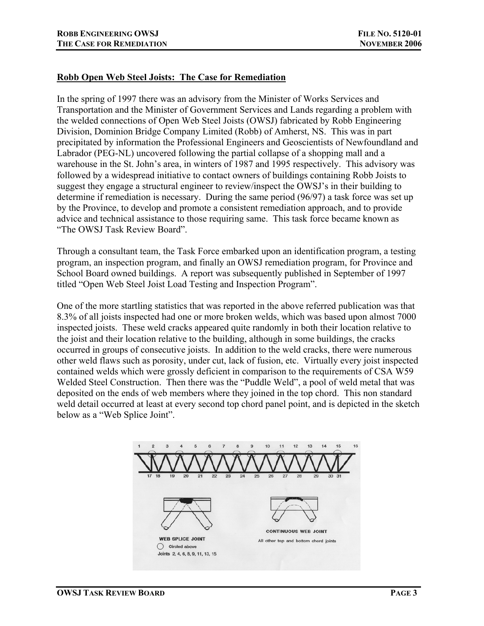## **Robb Open Web Steel Joists: The Case for Remediation**

In the spring of 1997 there was an advisory from the Minister of Works Services and Transportation and the Minister of Government Services and Lands regarding a problem with the welded connections of Open Web Steel Joists (OWSJ) fabricated by Robb Engineering Division, Dominion Bridge Company Limited (Robb) of Amherst, NS. This was in part precipitated by information the Professional Engineers and Geoscientists of Newfoundland and Labrador (PEG-NL) uncovered following the partial collapse of a shopping mall and a warehouse in the St. John's area, in winters of 1987 and 1995 respectively. This advisory was followed by a widespread initiative to contact owners of buildings containing Robb Joists to suggest they engage a structural engineer to review/inspect the OWSJ's in their building to determine if remediation is necessary. During the same period (96/97) a task force was set up by the Province, to develop and promote a consistent remediation approach, and to provide advice and technical assistance to those requiring same. This task force became known as "The OWSJ Task Review Board".

Through a consultant team, the Task Force embarked upon an identification program, a testing program, an inspection program, and finally an OWSJ remediation program, for Province and School Board owned buildings. A report was subsequently published in September of 1997 titled "Open Web Steel Joist Load Testing and Inspection Program".

One of the more startling statistics that was reported in the above referred publication was that 8.3% of all joists inspected had one or more broken welds, which was based upon almost 7000 inspected joists. These weld cracks appeared quite randomly in both their location relative to the joist and their location relative to the building, although in some buildings, the cracks occurred in groups of consecutive joists. In addition to the weld cracks, there were numerous other weld flaws such as porosity, under cut, lack of fusion, etc. Virtually every joist inspected contained welds which were grossly deficient in comparison to the requirements of CSA W59 Welded Steel Construction. Then there was the "Puddle Weld", a pool of weld metal that was deposited on the ends of web members where they joined in the top chord. This non standard weld detail occurred at least at every second top chord panel point, and is depicted in the sketch below as a "Web Splice Joint".

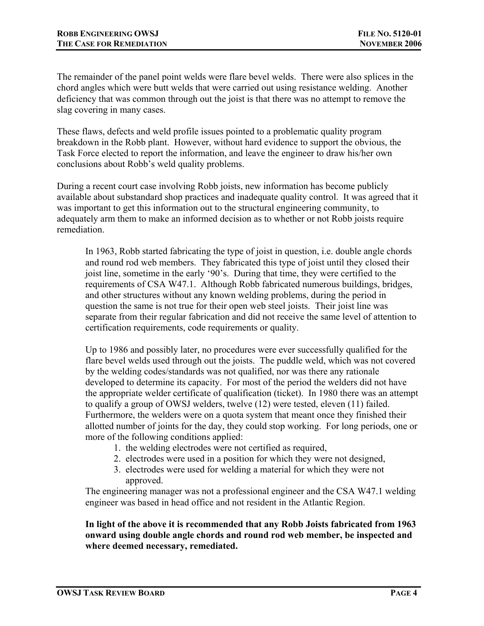The remainder of the panel point welds were flare bevel welds. There were also splices in the chord angles which were butt welds that were carried out using resistance welding. Another deficiency that was common through out the joist is that there was no attempt to remove the slag covering in many cases.

These flaws, defects and weld profile issues pointed to a problematic quality program breakdown in the Robb plant. However, without hard evidence to support the obvious, the Task Force elected to report the information, and leave the engineer to draw his/her own conclusions about Robb's weld quality problems.

During a recent court case involving Robb joists, new information has become publicly available about substandard shop practices and inadequate quality control. It was agreed that it was important to get this information out to the structural engineering community, to adequately arm them to make an informed decision as to whether or not Robb joists require remediation.

In 1963, Robb started fabricating the type of joist in question, i.e. double angle chords and round rod web members. They fabricated this type of joist until they closed their joist line, sometime in the early '90's. During that time, they were certified to the requirements of CSA W47.1. Although Robb fabricated numerous buildings, bridges, and other structures without any known welding problems, during the period in question the same is not true for their open web steel joists. Their joist line was separate from their regular fabrication and did not receive the same level of attention to certification requirements, code requirements or quality.

Up to 1986 and possibly later, no procedures were ever successfully qualified for the flare bevel welds used through out the joists. The puddle weld, which was not covered by the welding codes/standards was not qualified, nor was there any rationale developed to determine its capacity. For most of the period the welders did not have the appropriate welder certificate of qualification (ticket). In 1980 there was an attempt to qualify a group of OWSJ welders, twelve (12) were tested, eleven (11) failed. Furthermore, the welders were on a quota system that meant once they finished their allotted number of joints for the day, they could stop working. For long periods, one or more of the following conditions applied:

- 1. the welding electrodes were not certified as required,
- 2. electrodes were used in a position for which they were not designed,
- 3. electrodes were used for welding a material for which they were not approved.

The engineering manager was not a professional engineer and the CSA W47.1 welding engineer was based in head office and not resident in the Atlantic Region.

**In light of the above it is recommended that any Robb Joists fabricated from 1963 onward using double angle chords and round rod web member, be inspected and where deemed necessary, remediated.**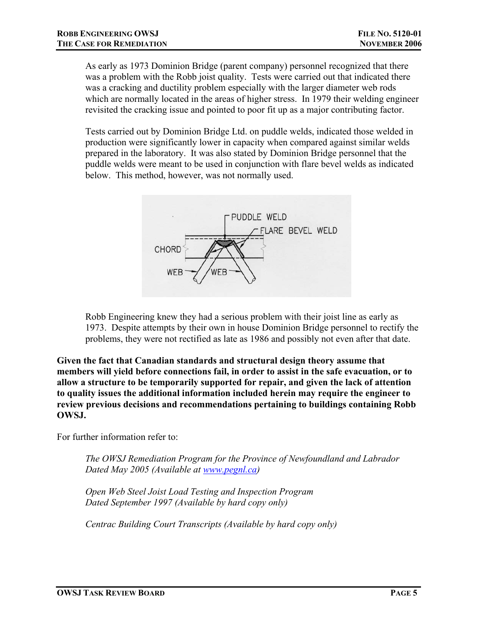As early as 1973 Dominion Bridge (parent company) personnel recognized that there was a problem with the Robb joist quality. Tests were carried out that indicated there was a cracking and ductility problem especially with the larger diameter web rods which are normally located in the areas of higher stress. In 1979 their welding engineer revisited the cracking issue and pointed to poor fit up as a major contributing factor.

Tests carried out by Dominion Bridge Ltd. on puddle welds, indicated those welded in production were significantly lower in capacity when compared against similar welds prepared in the laboratory. It was also stated by Dominion Bridge personnel that the puddle welds were meant to be used in conjunction with flare bevel welds as indicated below. This method, however, was not normally used.



Robb Engineering knew they had a serious problem with their joist line as early as 1973. Despite attempts by their own in house Dominion Bridge personnel to rectify the problems, they were not rectified as late as 1986 and possibly not even after that date.

**Given the fact that Canadian standards and structural design theory assume that members will yield before connections fail, in order to assist in the safe evacuation, or to allow a structure to be temporarily supported for repair, and given the lack of attention to quality issues the additional information included herein may require the engineer to review previous decisions and recommendations pertaining to buildings containing Robb OWSJ.**

For further information refer to:

*The OWSJ Remediation Program for the Province of Newfoundland and Labrador Dated May 2005 (Available at www.pegnl.ca)*

*Open Web Steel Joist Load Testing and Inspection Program Dated September 1997 (Available by hard copy only)* 

*Centrac Building Court Transcripts (Available by hard copy only)*